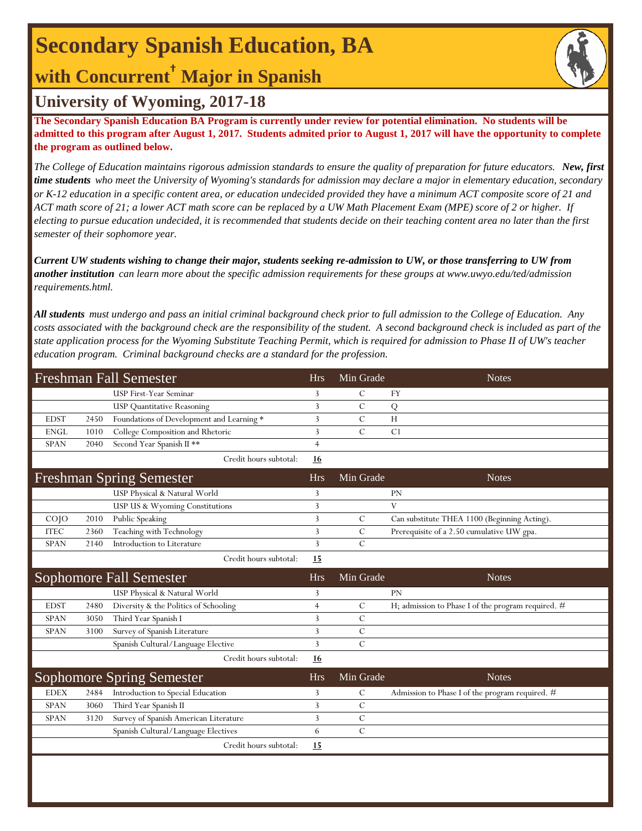# **Secondary Spanish Education, BA**

## **with Concurrent† Major in Spanish**

### **University of Wyoming, 2017-18**

**The Secondary Spanish Education BA Program is currently under review for potential elimination. No students will be admitted to this program after August 1, 2017. Students admited prior to August 1, 2017 will have the opportunity to complete the program as outlined below.**

*The College of Education maintains rigorous admission standards to ensure the quality of preparation for future educators. New, first time students who meet the University of Wyoming's standards for admission may declare a major in elementary education, secondary or K-12 education in a specific content area, or education undecided provided they have a minimum ACT composite score of 21 and ACT math score of 21; a lower ACT math score can be replaced by a UW Math Placement Exam (MPE) score of 2 or higher. If electing to pursue education undecided, it is recommended that students decide on their teaching content area no later than the first semester of their sophomore year.*

*Current UW students wishing to change their major, students seeking re-admission to UW, or those transferring to UW from another institution can learn more about the specific admission requirements for these groups at www.uwyo.edu/ted/admission requirements.html.* 

*All students must undergo and pass an initial criminal background check prior to full admission to the College of Education. Any costs associated with the background check are the responsibility of the student. A second background check is included as part of the state application process for the Wyoming Substitute Teaching Permit, which is required for admission to Phase II of UW's teacher education program. Criminal background checks are a standard for the profession.*

| <b>Freshman Fall Semester</b>    |                                 |                                           |                | Min Grade     | <b>Notes</b>                                       |
|----------------------------------|---------------------------------|-------------------------------------------|----------------|---------------|----------------------------------------------------|
|                                  |                                 | USP First-Year Seminar                    | 3              | $\mathcal{C}$ | <b>FY</b>                                          |
|                                  |                                 | <b>USP Quantitative Reasoning</b>         | 3              | $\mathcal{C}$ | ${\bf Q}$                                          |
| <b>EDST</b>                      | 2450                            | Foundations of Development and Learning * | 3              | $\mathcal{C}$ | H                                                  |
| <b>ENGL</b>                      | 1010                            | College Composition and Rhetoric          | 3              | $\mathcal{C}$ | C1                                                 |
| <b>SPAN</b>                      | 2040                            | Second Year Spanish II **                 | $\overline{4}$ |               |                                                    |
|                                  |                                 | Credit hours subtotal:                    | <u>16</u>      |               |                                                    |
|                                  | <b>Freshman Spring Semester</b> |                                           |                | Min Grade     | <b>Notes</b>                                       |
|                                  |                                 | USP Physical & Natural World              | 3              |               | PN                                                 |
|                                  |                                 | USP US & Wyoming Constitutions            | 3              |               | V                                                  |
| $CO$ $JO$                        | 2010                            | <b>Public Speaking</b>                    | 3              | $\mathcal{C}$ | Can substitute THEA 1100 (Beginning Acting).       |
| <b>ITEC</b>                      | 2360                            | Teaching with Technology                  | 3              | $\mathcal{C}$ | Prerequisite of a 2.50 cumulative UW gpa.          |
| <b>SPAN</b>                      | 2140                            | Introduction to Literature                | 3              | $\mathcal{C}$ |                                                    |
|                                  |                                 | Credit hours subtotal:                    | 15             |               |                                                    |
| <b>Sophomore Fall Semester</b>   |                                 |                                           | <b>Hrs</b>     | Min Grade     | <b>Notes</b>                                       |
|                                  |                                 | USP Physical & Natural World              | 3              |               | PN                                                 |
| <b>EDST</b>                      | 2480                            | Diversity & the Politics of Schooling     | $\overline{4}$ | C             | H; admission to Phase I of the program required. # |
| <b>SPAN</b>                      | 3050                            | Third Year Spanish I                      | 3              | $\mathcal{C}$ |                                                    |
| <b>SPAN</b>                      | 3100                            | Survey of Spanish Literature              | 3              | $\mathcal{C}$ |                                                    |
|                                  |                                 | Spanish Cultural/Language Elective        | 3              | $\mathcal{C}$ |                                                    |
|                                  |                                 | Credit hours subtotal:                    | 16             |               |                                                    |
| <b>Sophomore Spring Semester</b> |                                 |                                           | <b>Hrs</b>     | Min Grade     | <b>Notes</b>                                       |
| <b>EDEX</b>                      | 2484                            | Introduction to Special Education         | 3              | $\mathcal{C}$ | Admission to Phase I of the program required. #    |
| <b>SPAN</b>                      | 3060                            | Third Year Spanish II                     | 3              | $\mathcal{C}$ |                                                    |
| <b>SPAN</b>                      | 3120                            | Survey of Spanish American Literature     | 3              | $\mathcal{C}$ |                                                    |
|                                  |                                 | Spanish Cultural/Language Electives       | 6              | $\mathcal{C}$ |                                                    |
|                                  |                                 | Credit hours subtotal:                    | 15             |               |                                                    |
|                                  |                                 |                                           |                |               |                                                    |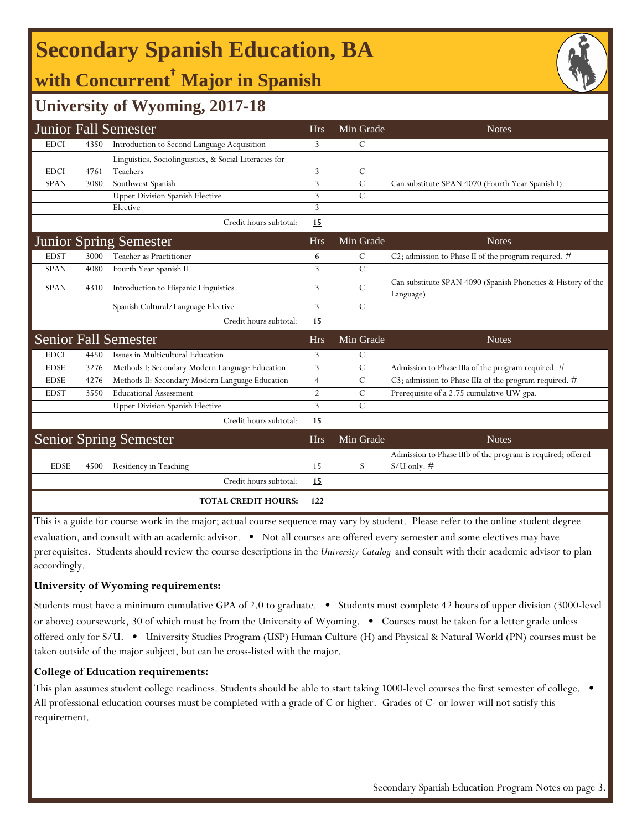# **Secondary Spanish Education, BA**

## **with Concurrent† Major in Spanish**



## **University of Wyoming, 2017-18**

|             |      | <b>Junior Fall Semester</b>                            | <b>Hrs</b>     | Min Grade      | <b>Notes</b>                                                                 |
|-------------|------|--------------------------------------------------------|----------------|----------------|------------------------------------------------------------------------------|
| <b>EDCI</b> | 4350 | Introduction to Second Language Acquisition            | 3              | $\mathcal{C}$  |                                                                              |
|             |      | Linguistics, Sociolinguistics, & Social Literacies for |                |                |                                                                              |
| <b>EDCI</b> | 4761 | Teachers                                               | 3              | C              |                                                                              |
| <b>SPAN</b> | 3080 | Southwest Spanish                                      | $\overline{3}$ | $\overline{C}$ | Can substitute SPAN 4070 (Fourth Year Spanish I).                            |
|             |      | <b>Upper Division Spanish Elective</b>                 | 3              | $\overline{C}$ |                                                                              |
|             |      | Elective                                               | 3              |                |                                                                              |
|             |      | Credit hours subtotal:                                 | 15             |                |                                                                              |
|             |      | <b>Junior Spring Semester</b>                          | <b>Hrs</b>     | Min Grade      | <b>Notes</b>                                                                 |
| <b>EDST</b> | 3000 | Teacher as Practitioner                                | 6              | $\mathcal{C}$  | C2; admission to Phase II of the program required. #                         |
| <b>SPAN</b> | 4080 | Fourth Year Spanish II                                 | 3              | $\overline{C}$ |                                                                              |
| <b>SPAN</b> | 4310 | Introduction to Hispanic Linguistics                   | 3              | $\mathcal{C}$  | Can substitute SPAN 4090 (Spanish Phonetics & History of the<br>Language).   |
|             |      | Spanish Cultural/Language Elective                     | 3              | $\mathcal{C}$  |                                                                              |
|             |      | Credit hours subtotal:                                 | 15             |                |                                                                              |
|             |      | <b>Senior Fall Semester</b>                            | <b>Hrs</b>     | Min Grade      | <b>Notes</b>                                                                 |
| <b>EDCI</b> | 4450 | Issues in Multicultural Education                      | 3              | C              |                                                                              |
| <b>EDSE</b> | 3276 | Methods I: Secondary Modern Language Education         | 3              | $\mathcal{C}$  | Admission to Phase IIIa of the program required. #                           |
| <b>EDSE</b> | 4276 | Methods II: Secondary Modern Language Education        | $\overline{4}$ | $\mathcal{C}$  | C3; admission to Phase IIIa of the program required. $#$                     |
| <b>EDST</b> | 3550 | <b>Educational Assessment</b>                          | $\overline{2}$ | $\mathcal{C}$  | Prerequisite of a 2.75 cumulative UW gpa.                                    |
|             |      | <b>Upper Division Spanish Elective</b>                 | 3              | $\overline{C}$ |                                                                              |
|             |      | Credit hours subtotal:                                 | 15             |                |                                                                              |
|             |      | <b>Senior Spring Semester</b>                          | <b>Hrs</b>     | Min Grade      | <b>Notes</b>                                                                 |
| <b>EDSE</b> | 4500 | Residency in Teaching                                  | 15             | S              | Admission to Phase IIIb of the program is required; offered<br>$S/U$ only. # |
|             |      | Credit hours subtotal:                                 | 15             |                |                                                                              |
|             |      | <b>TOTAL CREDIT HOURS:</b>                             | <u>122</u>     |                |                                                                              |

This is a guide for course work in the major; actual course sequence may vary by student. Please refer to the online student degree evaluation, and consult with an academic advisor. • Not all courses are offered every semester and some electives may have prerequisites. Students should review the course descriptions in the *University Catalog* and consult with their academic advisor to plan accordingly.

#### **University of Wyoming requirements:**

Students must have a minimum cumulative GPA of 2.0 to graduate. • Students must complete 42 hours of upper division (3000-level or above) coursework, 30 of which must be from the University of Wyoming. • Courses must be taken for a letter grade unless offered only for S/U. • University Studies Program (USP) Human Culture (H) and Physical & Natural World (PN) courses must be taken outside of the major subject, but can be cross-listed with the major.

#### **College of Education requirements:**

This plan assumes student college readiness. Students should be able to start taking 1000-level courses the first semester of college.  $\bullet$ All professional education courses must be completed with a grade of C or higher. Grades of C- or lower will not satisfy this requirement.